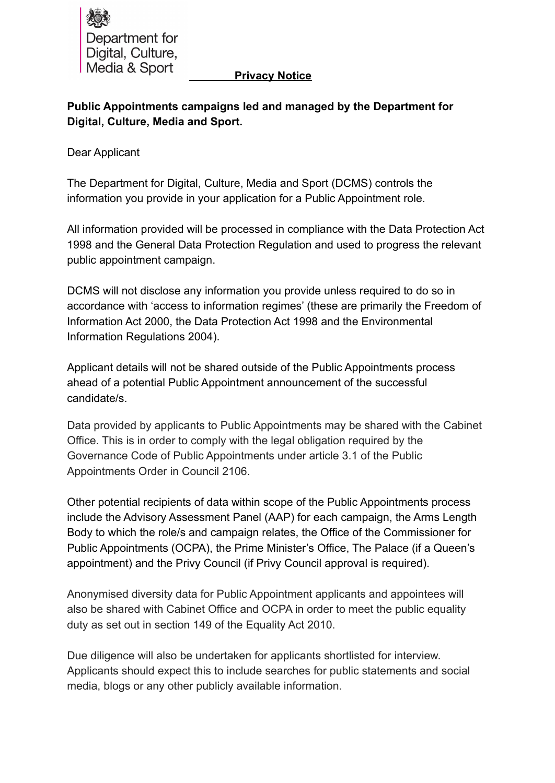

## **Privacy Notice**

**Public Appointments campaigns led and managed by the Department for Digital, Culture, Media and Sport.**

Dear Applicant

The Department for Digital, Culture, Media and Sport (DCMS) controls the information you provide in your application for a Public Appointment role.

All information provided will be processed in compliance with the Data Protection Act 1998 and the General Data Protection Regulation and used to progress the relevant public appointment campaign.

DCMS will not disclose any information you provide unless required to do so in accordance with 'access to information regimes' (these are primarily the Freedom of Information Act 2000, the Data Protection Act 1998 and the Environmental Information Regulations 2004).

Applicant details will not be shared outside of the Public Appointments process ahead of a potential Public Appointment announcement of the successful candidate/s.

Data provided by applicants to Public Appointments may be shared with the Cabinet Office. This is in order to comply with the legal obligation required by the Governance Code of Public Appointments under article 3.1 of the Public Appointments Order in Council 2106.

Other potential recipients of data within scope of the Public Appointments process include the Advisory Assessment Panel (AAP) for each campaign, the Arms Length Body to which the role/s and campaign relates, the Office of the Commissioner for Public Appointments (OCPA), the Prime Minister's Office, The Palace (if a Queen's appointment) and the Privy Council (if Privy Council approval is required).

Anonymised diversity data for Public Appointment applicants and appointees will also be shared with Cabinet Office and OCPA in order to meet the public equality duty as set out in section 149 of the Equality Act 2010.

Due diligence will also be undertaken for applicants shortlisted for interview. Applicants should expect this to include searches for public statements and social media, blogs or any other publicly available information.